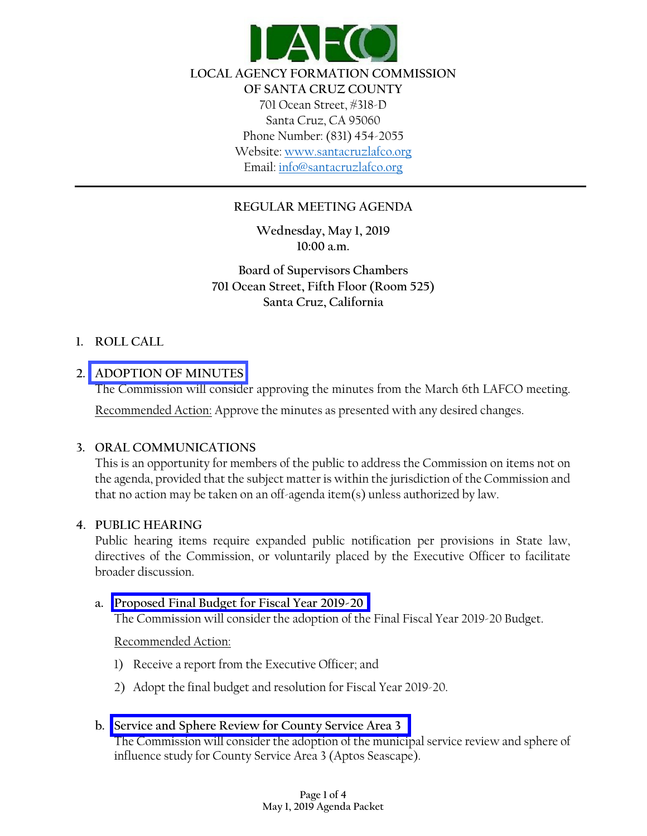

# **REGULAR MEETING AGENDA**

**Wednesday, May 1, 2019 10:00 a.m.**

**Board of Supervisors Chambers 701 Ocean Street, Fifth Floor (Room 525) Santa Cruz, California**

#### **1. ROLL CALL**

#### **2. [ADOPTION OF MINUTES](http://www.santacruzlafco.org/wp-content/uploads/2019/04/2a.-3-6-19-Minutes.pdf)**

The Commission will consider approving the minutes from the March 6th LAFCO meeting.

Recommended Action: Approve the minutes as presented with any desired changes.

#### **3. ORAL COMMUNICATIONS**

This is an opportunity for members of the public to address the Commission on items not on the agenda, provided that the subject matter is within the jurisdiction of the Commission and that no action may be taken on an off-agenda item(s) unless authorized by law.

#### **4. PUBLIC HEARING**

Public hearing items require expanded public notification per provisions in State law, directives of the Commission, or voluntarily placed by the Executive Officer to facilitate broader discussion.

### **a. [Proposed Final Budget for Fiscal Year 2019-20](http://www.santacruzlafco.org/wp-content/uploads/2019/04/4a-Budget-Combined.pdf)**

The Commission will consider the adoption of the Final Fiscal Year 2019-20 Budget.

### Recommended Action:

- 1) Receive a report from the Executive Officer; and
- 2) Adopt the final budget and resolution for Fiscal Year 2019-20.

### **b. [Service and Sphere Review for County Service Area 3](http://www.santacruzlafco.org/wp-content/uploads/2019/04/4b.-CSA-3-Combined.pdf)**

The Commission will consider the adoption of the municipal service review and sphere of influence study for County Service Area 3 (Aptos Seascape).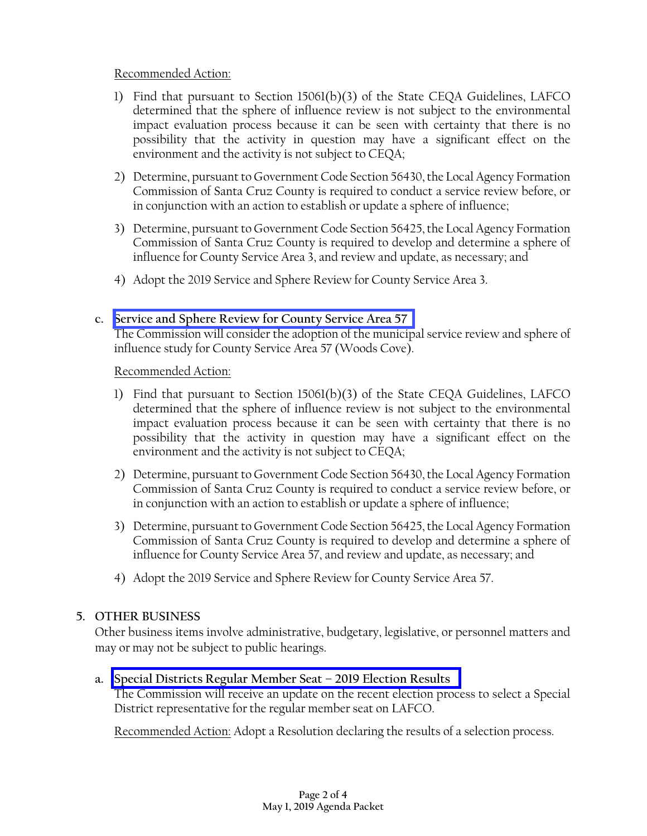# Recommended Action:

- 1) Find that pursuant to Section 15061(b)(3) of the State CEQA Guidelines, LAFCO determined that the sphere of influence review is not subject to the environmental impact evaluation process because it can be seen with certainty that there is no possibility that the activity in question may have a significant effect on the environment and the activity is not subject to CEQA;
- 2) Determine, pursuant to Government Code Section 56430, the Local Agency Formation Commission of Santa Cruz County is required to conduct a service review before, or in conjunction with an action to establish or update a sphere of influence;
- 3) Determine, pursuant to Government Code Section 56425, the Local Agency Formation Commission of Santa Cruz County is required to develop and determine a sphere of influence for County Service Area 3, and review and update, as necessary; and
- 4) Adopt the 2019 Service and Sphere Review for County Service Area 3.

# **c. [Service and Sphere Review for County Service Area 57](http://www.santacruzlafco.org/wp-content/uploads/2019/04/4c.-CSA-57-Combined.pdf)**

The Commission will consider the adoption of the municipal service review and sphere of influence study for County Service Area 57 (Woods Cove).

### Recommended Action:

- 1) Find that pursuant to Section 15061(b)(3) of the State CEQA Guidelines, LAFCO determined that the sphere of influence review is not subject to the environmental impact evaluation process because it can be seen with certainty that there is no possibility that the activity in question may have a significant effect on the environment and the activity is not subject to CEQA;
- 2) Determine, pursuant to Government Code Section 56430, the Local Agency Formation Commission of Santa Cruz County is required to conduct a service review before, or in conjunction with an action to establish or update a sphere of influence;
- 3) Determine, pursuant to Government Code Section 56425, the Local Agency Formation Commission of Santa Cruz County is required to develop and determine a sphere of influence for County Service Area 57, and review and update, as necessary; and
- 4) Adopt the 2019 Service and Sphere Review for County Service Area 57.

# **5. OTHER BUSINESS**

Other business items involve administrative, budgetary, legislative, or personnel matters and may or may not be subject to public hearings.

# **a. [Special Districts Regular Member Seat –](http://www.santacruzlafco.org/wp-content/uploads/2019/04/5a.-SD-Election-Combined.pdf) 2019 Election Results**

The Commission will receive an update on the recent election process to select a Special District representative for the regular member seat on LAFCO.

Recommended Action: Adopt a Resolution declaring the results of a selection process.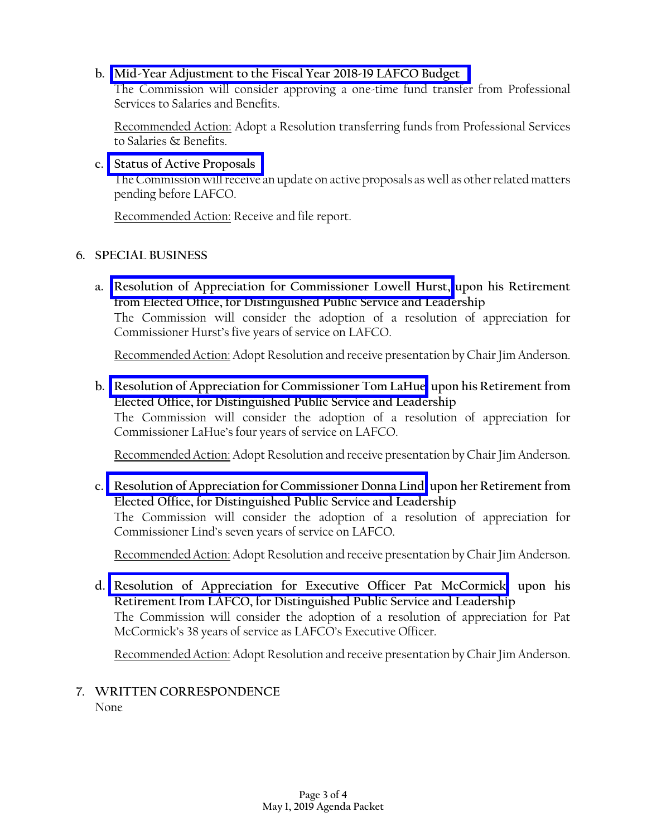## **b. [Mid-Year Adjustment to the Fiscal Year 2018-19 LAFCO Budget](http://www.santacruzlafco.org/wp-content/uploads/2019/04/5b.-Midyear-Adjust-FY-18-19-Combined.pdf)**

The Commission will consider approving a one-time fund transfer from Professional Services to Salaries and Benefits.

Recommended Action: Adopt a Resolution transferring funds from Professional Services to Salaries & Benefits.

#### **c. [Status of Active Proposals](http://www.santacruzlafco.org/wp-content/uploads/2019/04/5c.-Status-of-Proposals-Combined.pdf)**

The Commission will receive an update on active proposals as well as other related matters pending before LAFCO.

Recommended Action: Receive and file report.

### **6. SPECIAL BUSINESS**

**a. [Resolution of Appreciation for Commissioner Lowell Hurst,](http://www.santacruzlafco.org/wp-content/uploads/2019/04/6a.-Reso-of-Appreciation-Hurst-Combined.pdf) upon his Retirement from Elected Office, for Distinguished Public Service and Leadership** The Commission will consider the adoption of a resolution of appreciation for Commissioner Hurst's five years of service on LAFCO.

Recommended Action: Adopt Resolution and receive presentation by Chair Jim Anderson.

**b. [Resolution of Appreciation for Commissioner Tom LaHue,](http://www.santacruzlafco.org/wp-content/uploads/2019/04/6b.-Reso-of-Appreciation-LaHue-FINAL-Combined.pdf) upon his Retirement from Elected Office, for Distinguished Public Service and Leadership** The Commission will consider the adoption of a resolution of appreciation for Commissioner LaHue's four years of service on LAFCO.

Recommended Action: Adopt Resolution and receive presentation by Chair Jim Anderson.

**c. [Resolution of Appreciation for Commissioner Donna Lind,](http://www.santacruzlafco.org/wp-content/uploads/2019/04/6c.-Reso-of-Appreciation-Lind-Combined.pdf) upon her Retirement from Elected Office, for Distinguished Public Service and Leadership** The Commission will consider the adoption of a resolution of appreciation for Commissioner Lind's seven years of service on LAFCO.

Recommended Action: Adopt Resolution and receive presentation by Chair Jim Anderson.

**d. [Resolution of Appreciation for Executive Officer Pat McCormick,](http://www.santacruzlafco.org/wp-content/uploads/2019/04/6d.-Reso-of-Appreciation-McCormick-Combined.pdf) upon his Retirement from LAFCO, for Distinguished Public Service and Leadership** The Commission will consider the adoption of a resolution of appreciation for Pat McCormick's 38 years of service as LAFCO's Executive Officer.

Recommended Action: Adopt Resolution and receive presentation by Chair Jim Anderson.

# **7. WRITTEN CORRESPONDENCE**

None